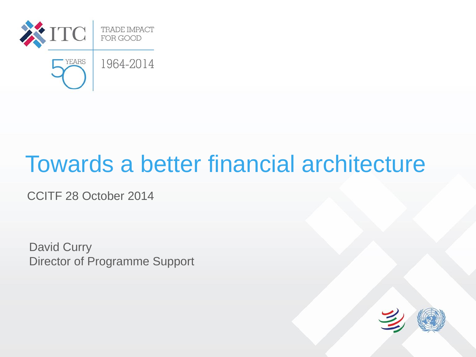

## Towards a better financial architecture

CCITF 28 October 2014

David Curry Director of Programme Support

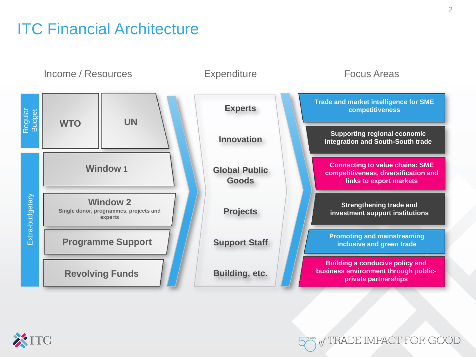### ITC Financial Architecture





of TRADE IMPACT FOR GOOD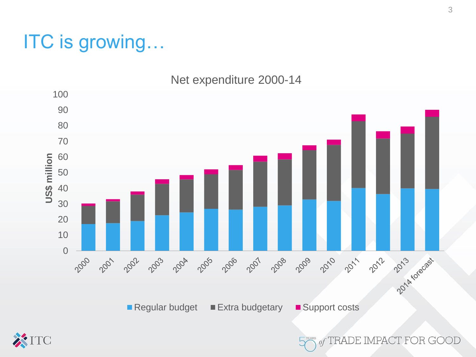### ITC is growing…

Net expenditure 2000-14





of TRADE IMPACT FOR GOOD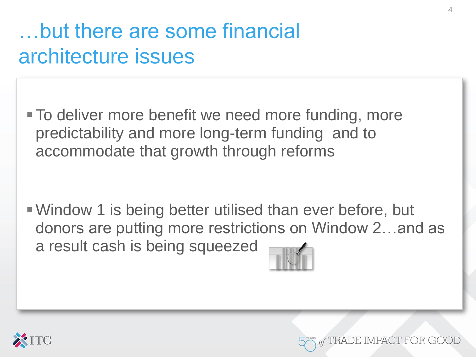## …but there are some financial architecture issues

**To deliver more benefit we need more funding, more** predictability and more long-term funding and to accommodate that growth through reforms

Window 1 is being better utilised than ever before, but donors are putting more restrictions on Window 2…and as a result cash is being squeezed





PACT FOR GOO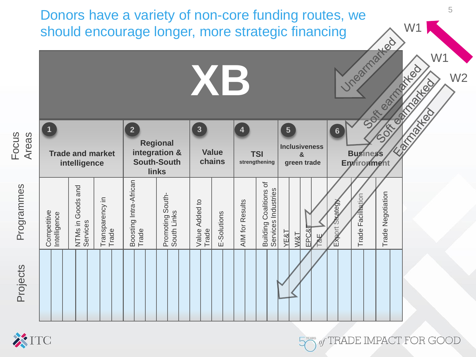Donors have a variety of non-core funding routes, we should encourage longer, more strategic financing

|                       |                             |                                         |                          |                                 |                                                                 | XB                      |                        |                        |                                                                              |                                                                                |                | Unearnarkeu<br>W1<br>carmated<br>W <sub>2</sub><br>Carried May<br>SOF<br><b>COSTED</b> |                                |                   |  |  |
|-----------------------|-----------------------------|-----------------------------------------|--------------------------|---------------------------------|-----------------------------------------------------------------|-------------------------|------------------------|------------------------|------------------------------------------------------------------------------|--------------------------------------------------------------------------------|----------------|----------------------------------------------------------------------------------------|--------------------------------|-------------------|--|--|
| <b>SNCO-</b><br>Areas | $\mathbf{1}$                | <b>Trade and market</b><br>intelligence |                          | $\overline{2}$                  | <b>Regional</b><br>integration &<br><b>South-South</b><br>links | $\overline{3}$          | <b>Value</b><br>chains |                        | <b>TSI</b><br>strengthening                                                  | $\overline{\mathbf{5}}$<br><b>Inclusiveness</b><br>$\mathbf{g}$<br>green trade |                | $6\phantom{a}$                                                                         | <b>Buginess</b><br>Enviroument |                   |  |  |
| Programmes            | Competitive<br>Intelligence | NTMs in Goods and<br>Services           | Transparency in<br>Trade | Boosting Intra-African<br>Trade | Promoting South-<br>South Links                                 | Value Added to<br>Trade | E-Solutions            | <b>AIM for Results</b> | $\overline{\mathrm{o}}$<br><b>Building Coalitions</b><br>Services Industries | EPC&<br>YE&T<br>M8T                                                            | $\frac{11}{8}$ | Strategy<br>Export                                                                     | Trade Facilitation             | Trade Negotiation |  |  |
| Projects              |                             |                                         |                          |                                 |                                                                 |                         |                        |                        |                                                                              |                                                                                |                |                                                                                        |                                |                   |  |  |



Focus

W1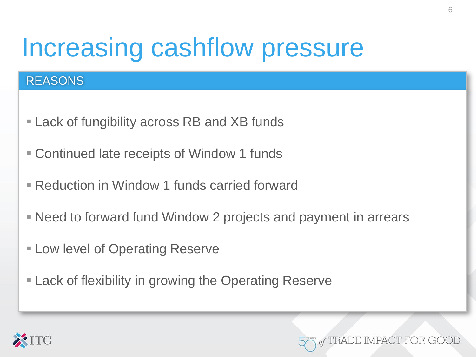# Increasing cashflow pressure

#### **REASONS**

- Lack of fungibility across RB and XB funds
- Continued late receipts of Window 1 funds
- Reduction in Window 1 funds carried forward
- Need to forward fund Window 2 projects and payment in arrears
- **Example 1 Low level of Operating Reserve**
- **Lack of flexibility in growing the Operating Reserve**



DE IMPACT FOR GOO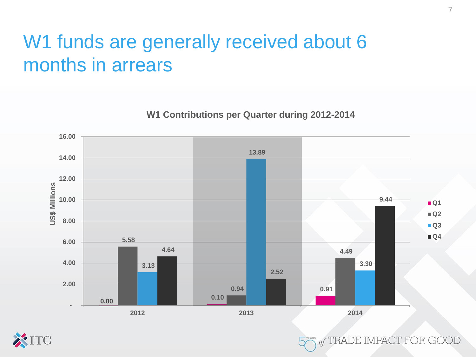### W1 funds are generally received about 6 months in arrears

**W1 Contributions per Quarter during 2012-2014**





of TRADE IMPACT FOR GOOI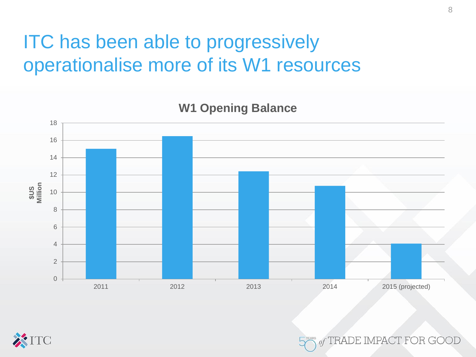### ITC has been able to progressively operationalise more of its W1 resources



of TRADE IMPACT FOR GOO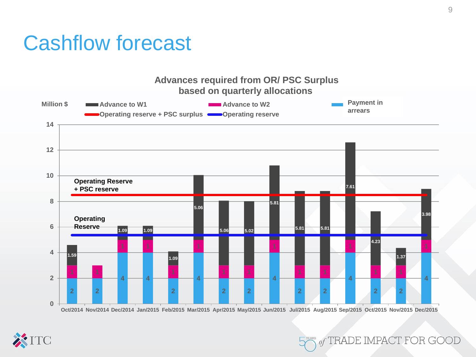### Cashflow forecast



9

of TRADE IMPACT FOR GOOD

Oct/2014 Nov/2014 Dec/2014 Jan/2015 Feb/2015 Mar/2015 Apr/2015 May/2015 Jun/2015 Jul/2015 Aug/2015 Sep/2015 Oct/2015 Nov/2015 Dec/2015